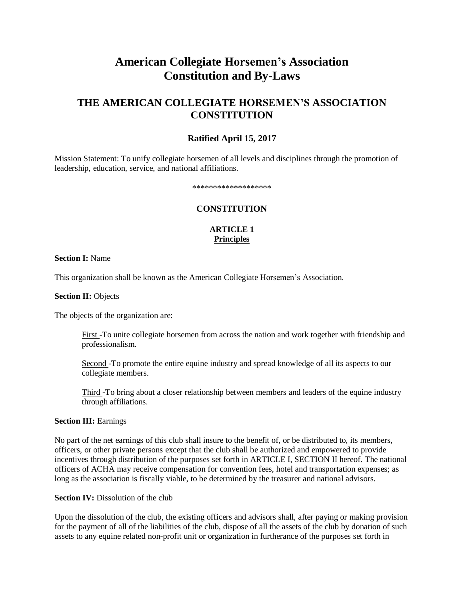# **American Collegiate Horsemen's Association Constitution and By-Laws**

# **THE AMERICAN COLLEGIATE HORSEMEN'S ASSOCIATION CONSTITUTION**

### **Ratified April 15, 2017**

Mission Statement: To unify collegiate horsemen of all levels and disciplines through the promotion of leadership, education, service, and national affiliations.

#### \*\*\*\*\*\*\*\*\*\*\*\*\*\*\*\*\*\*\*

### **CONSTITUTION**

### **ARTICLE 1 Principles**

### **Section I:** Name

This organization shall be known as the American Collegiate Horsemen's Association.

#### **Section II:** Objects

The objects of the organization are:

First -To unite collegiate horsemen from across the nation and work together with friendship and professionalism.

Second -To promote the entire equine industry and spread knowledge of all its aspects to our collegiate members.

Third -To bring about a closer relationship between members and leaders of the equine industry through affiliations.

### **Section III:** Earnings

No part of the net earnings of this club shall insure to the benefit of, or be distributed to, its members, officers, or other private persons except that the club shall be authorized and empowered to provide incentives through distribution of the purposes set forth in ARTICLE I, SECTION II hereof. The national officers of ACHA may receive compensation for convention fees, hotel and transportation expenses; as long as the association is fiscally viable, to be determined by the treasurer and national advisors.

#### **Section IV:** Dissolution of the club

Upon the dissolution of the club, the existing officers and advisors shall, after paying or making provision for the payment of all of the liabilities of the club, dispose of all the assets of the club by donation of such assets to any equine related non-profit unit or organization in furtherance of the purposes set forth in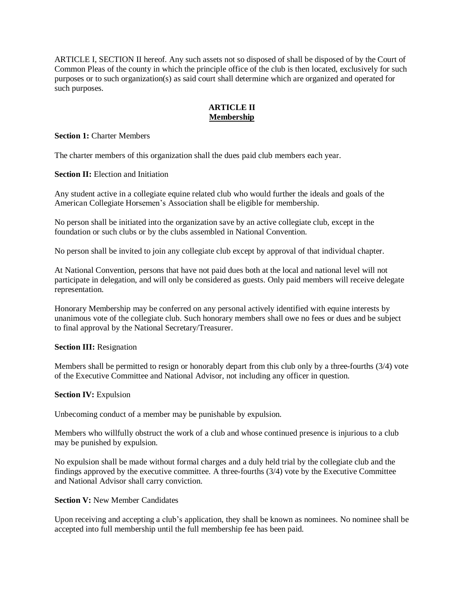ARTICLE I, SECTION II hereof. Any such assets not so disposed of shall be disposed of by the Court of Common Pleas of the county in which the principle office of the club is then located, exclusively for such purposes or to such organization(s) as said court shall determine which are organized and operated for such purposes.

### **ARTICLE II Membership**

**Section 1:** Charter Members

The charter members of this organization shall the dues paid club members each year.

**Section II:** Election and Initiation

Any student active in a collegiate equine related club who would further the ideals and goals of the American Collegiate Horsemen's Association shall be eligible for membership.

No person shall be initiated into the organization save by an active collegiate club, except in the foundation or such clubs or by the clubs assembled in National Convention.

No person shall be invited to join any collegiate club except by approval of that individual chapter.

At National Convention, persons that have not paid dues both at the local and national level will not participate in delegation, and will only be considered as guests. Only paid members will receive delegate representation.

Honorary Membership may be conferred on any personal actively identified with equine interests by unanimous vote of the collegiate club. Such honorary members shall owe no fees or dues and be subject to final approval by the National Secretary/Treasurer.

### **Section III:** Resignation

Members shall be permitted to resign or honorably depart from this club only by a three-fourths (3/4) vote of the Executive Committee and National Advisor, not including any officer in question.

#### **Section IV:** Expulsion

Unbecoming conduct of a member may be punishable by expulsion.

Members who willfully obstruct the work of a club and whose continued presence is injurious to a club may be punished by expulsion.

No expulsion shall be made without formal charges and a duly held trial by the collegiate club and the findings approved by the executive committee. A three-fourths (3/4) vote by the Executive Committee and National Advisor shall carry conviction.

### **Section V:** New Member Candidates

Upon receiving and accepting a club's application, they shall be known as nominees. No nominee shall be accepted into full membership until the full membership fee has been paid.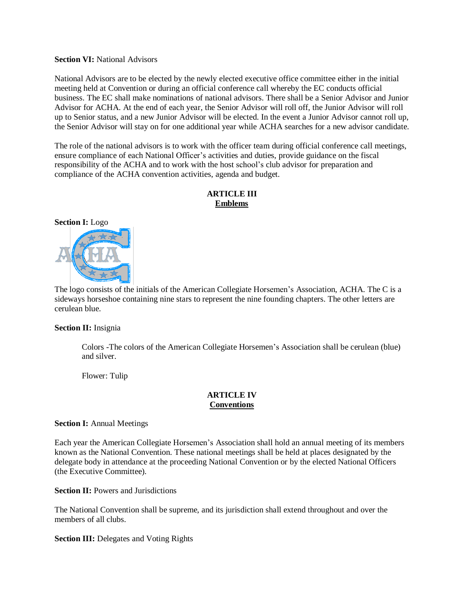### **Section VI:** National Advisors

National Advisors are to be elected by the newly elected executive office committee either in the initial meeting held at Convention or during an official conference call whereby the EC conducts official business. The EC shall make nominations of national advisors. There shall be a Senior Advisor and Junior Advisor for ACHA. At the end of each year, the Senior Advisor will roll off, the Junior Advisor will roll up to Senior status, and a new Junior Advisor will be elected. In the event a Junior Advisor cannot roll up, the Senior Advisor will stay on for one additional year while ACHA searches for a new advisor candidate.

The role of the national advisors is to work with the officer team during official conference call meetings, ensure compliance of each National Officer's activities and duties, provide guidance on the fiscal responsibility of the ACHA and to work with the host school's club advisor for preparation and compliance of the ACHA convention activities, agenda and budget.

### **ARTICLE III Emblems**



The logo consists of the initials of the American Collegiate Horsemen's Association, ACHA. The C is a sideways horseshoe containing nine stars to represent the nine founding chapters. The other letters are cerulean blue.

#### **Section II:** Insignia

Colors -The colors of the American Collegiate Horsemen's Association shall be cerulean (blue) and silver.

Flower: Tulip

### **ARTICLE IV Conventions**

#### **Section I:** Annual Meetings

Each year the American Collegiate Horsemen's Association shall hold an annual meeting of its members known as the National Convention. These national meetings shall be held at places designated by the delegate body in attendance at the proceeding National Convention or by the elected National Officers (the Executive Committee).

**Section II:** Powers and Jurisdictions

The National Convention shall be supreme, and its jurisdiction shall extend throughout and over the members of all clubs.

**Section III:** Delegates and Voting Rights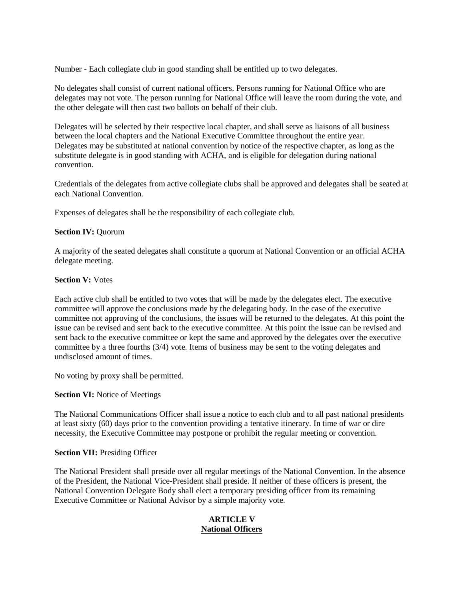Number - Each collegiate club in good standing shall be entitled up to two delegates.

No delegates shall consist of current national officers. Persons running for National Office who are delegates may not vote. The person running for National Office will leave the room during the vote, and the other delegate will then cast two ballots on behalf of their club.

Delegates will be selected by their respective local chapter, and shall serve as liaisons of all business between the local chapters and the National Executive Committee throughout the entire year. Delegates may be substituted at national convention by notice of the respective chapter, as long as the substitute delegate is in good standing with ACHA, and is eligible for delegation during national convention.

Credentials of the delegates from active collegiate clubs shall be approved and delegates shall be seated at each National Convention.

Expenses of delegates shall be the responsibility of each collegiate club.

### **Section IV:** Quorum

A majority of the seated delegates shall constitute a quorum at National Convention or an official ACHA delegate meeting.

### **Section V:** Votes

Each active club shall be entitled to two votes that will be made by the delegates elect. The executive committee will approve the conclusions made by the delegating body. In the case of the executive committee not approving of the conclusions, the issues will be returned to the delegates. At this point the issue can be revised and sent back to the executive committee. At this point the issue can be revised and sent back to the executive committee or kept the same and approved by the delegates over the executive committee by a three fourths (3/4) vote. Items of business may be sent to the voting delegates and undisclosed amount of times.

No voting by proxy shall be permitted.

### **Section VI:** Notice of Meetings

The National Communications Officer shall issue a notice to each club and to all past national presidents at least sixty (60) days prior to the convention providing a tentative itinerary. In time of war or dire necessity, the Executive Committee may postpone or prohibit the regular meeting or convention.

### **Section VII:** Presiding Officer

The National President shall preside over all regular meetings of the National Convention. In the absence of the President, the National Vice-President shall preside. If neither of these officers is present, the National Convention Delegate Body shall elect a temporary presiding officer from its remaining Executive Committee or National Advisor by a simple majority vote.

### **ARTICLE V National Officers**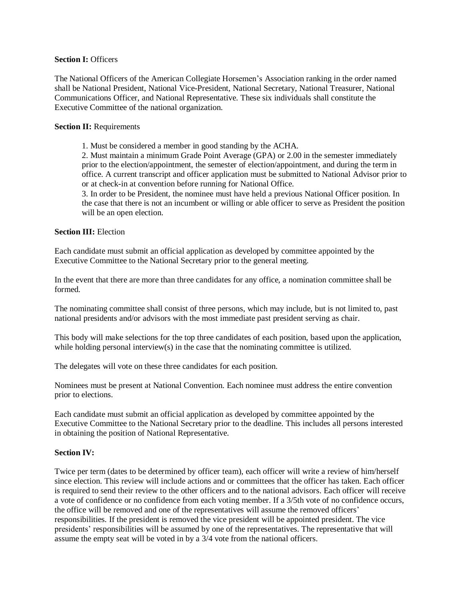### **Section I:** Officers

The National Officers of the American Collegiate Horsemen's Association ranking in the order named shall be National President, National Vice-President, National Secretary, National Treasurer, National Communications Officer, and National Representative. These six individuals shall constitute the Executive Committee of the national organization.

### **Section II:** Requirements

1. Must be considered a member in good standing by the ACHA.

2. Must maintain a minimum Grade Point Average (GPA) or 2.00 in the semester immediately prior to the election/appointment, the semester of election/appointment, and during the term in office. A current transcript and officer application must be submitted to National Advisor prior to or at check-in at convention before running for National Office.

3. In order to be President, the nominee must have held a previous National Officer position. In the case that there is not an incumbent or willing or able officer to serve as President the position will be an open election.

### **Section III:** Election

Each candidate must submit an official application as developed by committee appointed by the Executive Committee to the National Secretary prior to the general meeting.

In the event that there are more than three candidates for any office, a nomination committee shall be formed.

The nominating committee shall consist of three persons, which may include, but is not limited to, past national presidents and/or advisors with the most immediate past president serving as chair.

This body will make selections for the top three candidates of each position, based upon the application, while holding personal interview(s) in the case that the nominating committee is utilized.

The delegates will vote on these three candidates for each position.

Nominees must be present at National Convention. Each nominee must address the entire convention prior to elections.

Each candidate must submit an official application as developed by committee appointed by the Executive Committee to the National Secretary prior to the deadline. This includes all persons interested in obtaining the position of National Representative.

#### **Section IV:**

Twice per term (dates to be determined by officer team), each officer will write a review of him/herself since election. This review will include actions and or committees that the officer has taken. Each officer is required to send their review to the other officers and to the national advisors. Each officer will receive a vote of confidence or no confidence from each voting member. If a 3/5th vote of no confidence occurs, the office will be removed and one of the representatives will assume the removed officers' responsibilities. If the president is removed the vice president will be appointed president. The vice presidents' responsibilities will be assumed by one of the representatives. The representative that will assume the empty seat will be voted in by a 3/4 vote from the national officers.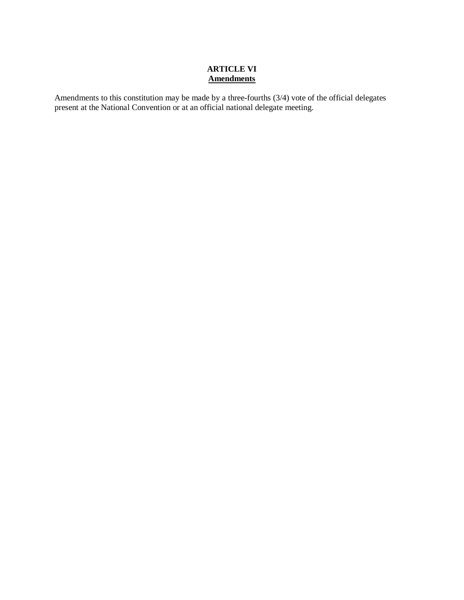### **ARTICLE VI Amendments**

Amendments to this constitution may be made by a three-fourths (3/4) vote of the official delegates present at the National Convention or at an official national delegate meeting.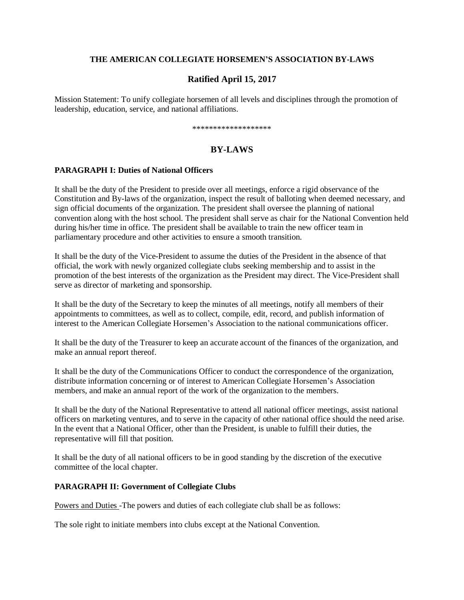### **THE AMERICAN COLLEGIATE HORSEMEN'S ASSOCIATION BY-LAWS**

### **Ratified April 15, 2017**

Mission Statement: To unify collegiate horsemen of all levels and disciplines through the promotion of leadership, education, service, and national affiliations.

\*\*\*\*\*\*\*\*\*\*\*\*\*\*\*\*\*\*\*

### **BY-LAWS**

### **PARAGRAPH I: Duties of National Officers**

It shall be the duty of the President to preside over all meetings, enforce a rigid observance of the Constitution and By-laws of the organization, inspect the result of balloting when deemed necessary, and sign official documents of the organization. The president shall oversee the planning of national convention along with the host school. The president shall serve as chair for the National Convention held during his/her time in office. The president shall be available to train the new officer team in parliamentary procedure and other activities to ensure a smooth transition.

It shall be the duty of the Vice-President to assume the duties of the President in the absence of that official, the work with newly organized collegiate clubs seeking membership and to assist in the promotion of the best interests of the organization as the President may direct. The Vice-President shall serve as director of marketing and sponsorship.

It shall be the duty of the Secretary to keep the minutes of all meetings, notify all members of their appointments to committees, as well as to collect, compile, edit, record, and publish information of interest to the American Collegiate Horsemen's Association to the national communications officer.

It shall be the duty of the Treasurer to keep an accurate account of the finances of the organization, and make an annual report thereof.

It shall be the duty of the Communications Officer to conduct the correspondence of the organization, distribute information concerning or of interest to American Collegiate Horsemen's Association members, and make an annual report of the work of the organization to the members.

It shall be the duty of the National Representative to attend all national officer meetings, assist national officers on marketing ventures, and to serve in the capacity of other national office should the need arise. In the event that a National Officer, other than the President, is unable to fulfill their duties, the representative will fill that position.

It shall be the duty of all national officers to be in good standing by the discretion of the executive committee of the local chapter.

### **PARAGRAPH II: Government of Collegiate Clubs**

Powers and Duties -The powers and duties of each collegiate club shall be as follows:

The sole right to initiate members into clubs except at the National Convention.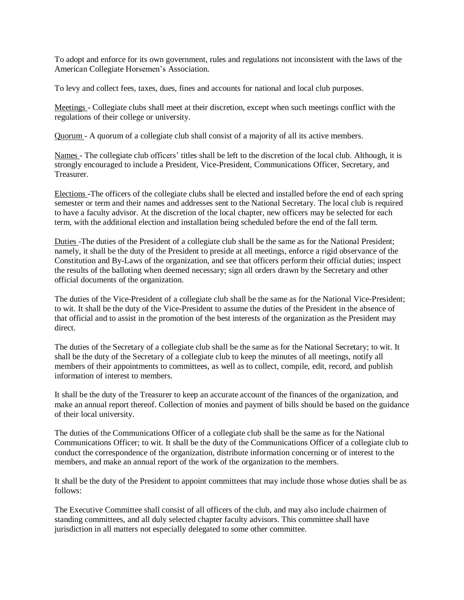To adopt and enforce for its own government, rules and regulations not inconsistent with the laws of the American Collegiate Horsemen's Association.

To levy and collect fees, taxes, dues, fines and accounts for national and local club purposes.

Meetings - Collegiate clubs shall meet at their discretion, except when such meetings conflict with the regulations of their college or university.

Quorum - A quorum of a collegiate club shall consist of a majority of all its active members.

Names - The collegiate club officers' titles shall be left to the discretion of the local club. Although, it is strongly encouraged to include a President, Vice-President, Communications Officer, Secretary, and Treasurer.

Elections -The officers of the collegiate clubs shall be elected and installed before the end of each spring semester or term and their names and addresses sent to the National Secretary. The local club is required to have a faculty advisor. At the discretion of the local chapter, new officers may be selected for each term, with the additional election and installation being scheduled before the end of the fall term.

Duties -The duties of the President of a collegiate club shall be the same as for the National President; namely, it shall be the duty of the President to preside at all meetings, enforce a rigid observance of the Constitution and By-Laws of the organization, and see that officers perform their official duties; inspect the results of the balloting when deemed necessary; sign all orders drawn by the Secretary and other official documents of the organization.

The duties of the Vice-President of a collegiate club shall be the same as for the National Vice-President; to wit. It shall be the duty of the Vice-President to assume the duties of the President in the absence of that official and to assist in the promotion of the best interests of the organization as the President may direct.

The duties of the Secretary of a collegiate club shall be the same as for the National Secretary; to wit. It shall be the duty of the Secretary of a collegiate club to keep the minutes of all meetings, notify all members of their appointments to committees, as well as to collect, compile, edit, record, and publish information of interest to members.

It shall be the duty of the Treasurer to keep an accurate account of the finances of the organization, and make an annual report thereof. Collection of monies and payment of bills should be based on the guidance of their local university.

The duties of the Communications Officer of a collegiate club shall be the same as for the National Communications Officer; to wit. It shall be the duty of the Communications Officer of a collegiate club to conduct the correspondence of the organization, distribute information concerning or of interest to the members, and make an annual report of the work of the organization to the members.

It shall be the duty of the President to appoint committees that may include those whose duties shall be as follows:

The Executive Committee shall consist of all officers of the club, and may also include chairmen of standing committees, and all duly selected chapter faculty advisors. This committee shall have jurisdiction in all matters not especially delegated to some other committee.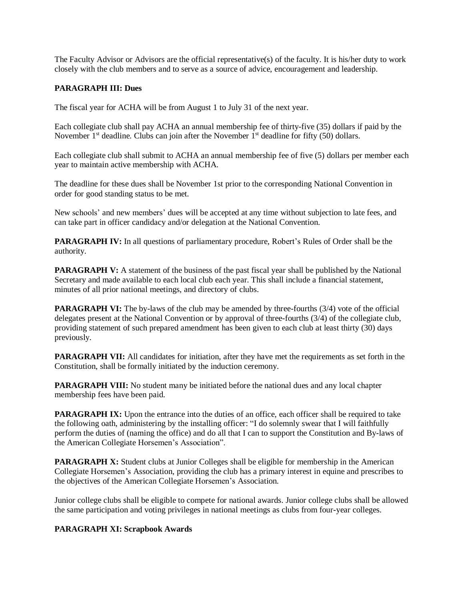The Faculty Advisor or Advisors are the official representative(s) of the faculty. It is his/her duty to work closely with the club members and to serve as a source of advice, encouragement and leadership.

### **PARAGRAPH III: Dues**

The fiscal year for ACHA will be from August 1 to July 31 of the next year.

Each collegiate club shall pay ACHA an annual membership fee of thirty-five (35) dollars if paid by the November  $1<sup>st</sup>$  deadline. Clubs can join after the November  $1<sup>st</sup>$  deadline for fifty (50) dollars.

Each collegiate club shall submit to ACHA an annual membership fee of five (5) dollars per member each year to maintain active membership with ACHA.

The deadline for these dues shall be November 1st prior to the corresponding National Convention in order for good standing status to be met.

New schools' and new members' dues will be accepted at any time without subjection to late fees, and can take part in officer candidacy and/or delegation at the National Convention.

**PARAGRAPH IV:** In all questions of parliamentary procedure, Robert's Rules of Order shall be the authority.

**PARAGRAPH V:** A statement of the business of the past fiscal year shall be published by the National Secretary and made available to each local club each year. This shall include a financial statement, minutes of all prior national meetings, and directory of clubs.

**PARAGRAPH VI:** The by-laws of the club may be amended by three-fourths (3/4) vote of the official delegates present at the National Convention or by approval of three-fourths (3/4) of the collegiate club, providing statement of such prepared amendment has been given to each club at least thirty (30) days previously.

**PARAGRAPH VII:** All candidates for initiation, after they have met the requirements as set forth in the Constitution, shall be formally initiated by the induction ceremony.

**PARAGRAPH VIII:** No student many be initiated before the national dues and any local chapter membership fees have been paid.

**PARAGRAPH IX:** Upon the entrance into the duties of an office, each officer shall be required to take the following oath, administering by the installing officer: "I do solemnly swear that I will faithfully perform the duties of (naming the office) and do all that I can to support the Constitution and By-laws of the American Collegiate Horsemen's Association".

**PARAGRAPH X:** Student clubs at Junior Colleges shall be eligible for membership in the American Collegiate Horsemen's Association, providing the club has a primary interest in equine and prescribes to the objectives of the American Collegiate Horsemen's Association.

Junior college clubs shall be eligible to compete for national awards. Junior college clubs shall be allowed the same participation and voting privileges in national meetings as clubs from four-year colleges.

### **PARAGRAPH XI: Scrapbook Awards**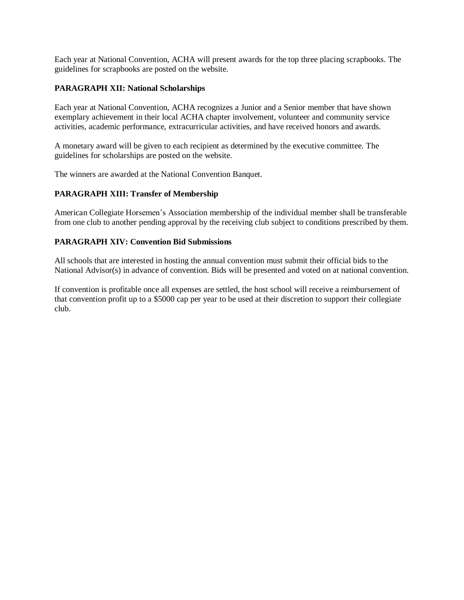Each year at National Convention, ACHA will present awards for the top three placing scrapbooks. The guidelines for scrapbooks are posted on the website.

### **PARAGRAPH XII: National Scholarships**

Each year at National Convention, ACHA recognizes a Junior and a Senior member that have shown exemplary achievement in their local ACHA chapter involvement, volunteer and community service activities, academic performance, extracurricular activities, and have received honors and awards.

A monetary award will be given to each recipient as determined by the executive committee. The guidelines for scholarships are posted on the website.

The winners are awarded at the National Convention Banquet.

### **PARAGRAPH XIII: Transfer of Membership**

American Collegiate Horsemen's Association membership of the individual member shall be transferable from one club to another pending approval by the receiving club subject to conditions prescribed by them.

### **PARAGRAPH XIV: Convention Bid Submissions**

All schools that are interested in hosting the annual convention must submit their official bids to the National Advisor(s) in advance of convention. Bids will be presented and voted on at national convention.

If convention is profitable once all expenses are settled, the host school will receive a reimbursement of that convention profit up to a \$5000 cap per year to be used at their discretion to support their collegiate club.